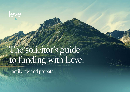# leyel

# The solicitor's guide to funding with Level

Family law and probate

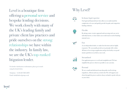For further clarification or information, please get in touch using the details below.

Telephone: +44 (0) 20 7205 2870 Email: info@thelevelgroup.co.uk

Level is a boutique firm offering a personal service and bespoke lending decisions. We work closely with many of the UK's leading family and private client law practices and pride ourselves on the strong relationships we have within the industry. In family law, we are the UK's top-ranked litigation lender.

In-house legal expertise

Our legal and financial know-how allows us to understand the complexities of a case and quickly provide bespoke and competitive funding solutions.



#### Flexible

By taking a more creative approach and assessing each case on its individual merits, we have built a successful track record of funding unusual cases.

#### Fast

As an independent lender, we make fast decisions and are highly responsive. We can usually provide an in-principle offer within 48 hours of receiving an application and get the facility set up and monies paid down in as little as one week.





Our application process is swift and straightforward. We have simplified the process wherever possible to save you time.

Personal

**Streamlined** 

We are a small and dedicated team that prides itself on being empathetic, efficient and easy to deal with. We will support your client through the process and are always on hand to speak with you or your client.

# Why Level?

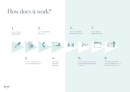# How does it work?



# level

**processes payment** directly into solicitor firm's client account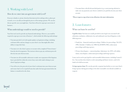# 1. Working with Level

#### How do we enter into an agreement with Level?

If you are a family or private client law firm interested in working with us, please get in touch, so we can talk you through the process of becoming a partner. We can also discuss specific cases you might have. Your firm will need to sign up to our terms of business.

#### What undertakings would we need to provide?

Your firm won't need to provide any financial undertakings. However, you would be required to sign up to our terms of business\*, which include the following undertakings:

- You must provide Level with regular updates on legal proceedings, including settlement offers and any changes to your client's case that might affect their ability to repay their loan.
- You must serve the client's spouse or executor with a completed 'Form of notice' from the deed of assignment. This instructs them to pay any settlement proceeds directly into your client account.
- You must use all reasonable endeavours to make sure repayment of the litigation loan is provided for within the terms of any court order made relating to your client's legal proceedings.
- You will receive the proceeds of your client's settlement into your client account and ensure that Level is repaid all sums due under the loan agreement before the balance is transferred to the client.

• You must liaise with all relevant third parties (e.g. a conveyancing solicitor) to account.

make sure any payments your client is entitled to are paid directly into your client

**\*Please request a copy of our terms of business for more information.** 

## 2. Loan features

#### What can loans be used for?

**Legal fees loan:** Our loans are usually provided to meet legal costs associated with arbitration, mediation, collaborative law and traditional court-based litigation, in the following areas:

• Family law – financial remedy proceedings, Children Act proceedings, ToLATA

- 1996, Schedule 1 Children Act 1989, Part III MFPA 1984, enforcement proceedings and living expenses.
- Private client disputes contested probate, Inheritance Act 1975, will validity claims, trust disputes, enforcement proceedings and living expenses.

Loans can be used to pay legal fees and reasonable disbursements, including Counsel's fees. You can draw down funds to settle outstanding and future invoices, and/or for funds to be held on account.

**Living expenses loan:** We can also provide a separate loan facility to cover your client's living expenses during proceedings or for other reasonable costs (details available on request).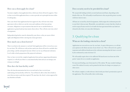#### How can a client apply for a loan?

You must complete a loan application form, which your client will need to approve. Once we have received the application form, we aim to provide an in-principle decision within 2 working days.

Once your client's loan application has been approved, they will enter into a loan agreement with us which sets out the terms and conditions of the loan and any covenants, obligations or representations that must be met or satisfied before an application is granted and any loan monies drawn down. They will also enter into a deed of assignment.

Independent legal advice must be obtained by your client, so they are aware of their rights and obligations before entering into a loan agreement.

#### How much can a client borrow?

There is no limit to the amount we can lend. Each application will be reviewed on a caseby-case basis. We will discuss with you how much your client will need to conclude their proceedings, and the anticipated outcome of their case by way of financial settlement. Level is able to lend a proportion of the projected settlement.

Once we have received the completed application form and any supporting information required, we will tell you if there is a maximum facility limit and you can manage your strategy accordingly.

#### How does the loan facility work?

Once the loan documentation has been executed and we have received your undertaking, the loan facility will be live. You will then be able to draw down funds to your client account as and when required. We must have the client's written approval for any drawdown of funds.

## Does security need to be provided for a loan?

We can provide lending on both a secured and unsecured basis, depending on the details of the case. We will usually reward borrowers who can provide greater security with lower interest rates.

All loans are secured by a deed of assignment, which assigns the settlement proceeds to your firm's client account. Meanwhile, you undertake to ensure that these funds are used to repay all sums owed to Level under the loan agreement before any funds are released to the client, or to any other third party.

# 3. Qualifying for a loan

#### What are the lending criteria for a client?

Applications are assessed on a case-by-case basis. As part of this process, we will ask your opinion on the likely outcome of your client's case. There will need to be a path to repayment and sufficient headroom in the settlement meaning that the loan is covered by the settlement by a ratio of at least 1:3.

We will usually require there to be sufficient UK-based assets in at least one of the parties' names for us to consider an application.

For unsecured lending, your client must be a UK resident. We may consider lending to a non-UK resident if security can be granted in the form of a charge over property or other assets.

We will also complete a credit reference check (with your client's permission) as part of the application. This will not affect their credit rating.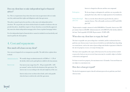This is a cost the client will need to pay for directly, and it is separate from us. This will usually cost between £275 and £350,

plus VAT.

\*Representative example: amount of credit £100,000 for 12 months. Interest rate 18% per annum. Interest £18,000. Administration fee of £1,000 (1% of the facility) added to the loan. Total repayable £119,180. Representative 19.20% APR.

#### When does my client have to repay the loan?

The loan is repayable once proceedings have concluded, and the settlement has been paid into your client account. Loan terms are decided on an individual basis depending on certain factors, such as the status of proceedings and whether repayment is linked to the sale of a property or asset, or receipt of a lump sum.

The loan is also repayable at the expiry of the loan term. If a case has not been settled or proceeds of sale are not yet received, loan terms may be extended, subject to further credit checks and approval.

For loans secured over property, the maximum term is 12 months. Unsecured loans are not subject to a maximum term.

#### How does a loan get repaid?

The deed of assignment requires that all settlement proceeds are paid into your firm's client account.

flat rate and does not compound.

lemption fee and there are no penalties for either in a single payment or by instalments.

| <b>Administration fee</b> | We usually charge an administration fee of £500 or $1 - 1.5\%$ of                                                                                                                                                            |  |
|---------------------------|------------------------------------------------------------------------------------------------------------------------------------------------------------------------------------------------------------------------------|--|
|                           | the facility which can be paid upfront or added to the loan amount.                                                                                                                                                          |  |
| Interest rate             | Our interest rates range from $1\% - 2\%$ per month $(12\% - 24\%$<br>per annum) <sup>*</sup> and are fixed for the duration of the agreement. The<br>interest rate is set according to the risk and complexity of the case. |  |
|                           | Interest only accrues on drawn down funds, and is only payable                                                                                                                                                               |  |

#### Does my client have to take independent legal or financial advice?

Yes. This is a requirement of any client who enters into an agreement with us to make sure they understand their rights and obligations under that agreement.

This advice cannot be given by your firm, so they must seek independent advice elsewhere. We can provide your client with the details of a number of solicitors who can provide this advice, should they require it. If your client has a secured facility approved, they must also obtain independent mortgage advice from a regulated mortgage broker.

Fees for independent legal or financial advice cannot be included in our loan facility and must be paid by the client upfront.

## 4. Cost and repayments

#### How much will a loan cost my client?

Our costs are designed to be as transparent as possible. The table below explains them in detail.

when the loan is settled at the end of the agreement.

| Interest is charged at a |  |
|--------------------------|--|
|                          |  |

| We do not charge a red   |  |
|--------------------------|--|
| paying the loan early, e |  |

Redemption

Independent legal advice fee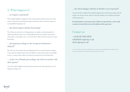# 5. What happens if…

#### … we require a statement?

We are legally obliged to supply the client with an annual statement of account. If you require a statement for upcoming hearings or disclosure, please send your request to: accounts@thelevelgroup.co.uk

We will ask you to provide us with appropriate case updates, and assuming there is<br>sufficient had no main the case, a formal application has been made by you and you client and it is responsible to do so, we may be able to offer the client an increase to their ioan fachtly. sufficient headroom in the case, a formal application has been made by you and your loan facility.

## ... the legal proceedings or the receipt of settlement is delayed?

#### … the client requires further borrowing?

We will review the situation and, providing that there are no material adverse changes to the expected settlement proceeds or the ability to repay the loan and it is responsible to do so, we may be able to offer your client an extension to the term of their loan.

## … in the case of family proceedings, the client reconciles with their spouse?

Your client will be obliged to repay the loan under the terms of the agreement, even if legal proceedings cease.

### … the client changes solicitor or decides to act in person?

Any new law firm would need to already be approved by us before proceeding, and will require our written consent, otherwise the loan will have to be repaid in accordance with the agreement.

**If a client decides to act in person, they will have to repay the loan, as this would constitute a breach of the terms and conditions of the agreement.**

# Contact us

+44 (0) 20 7205 2870 info@thelevelgroup.co.uk thelevelgroup.co.uk

Level is the trading name of Integro Funding Limited, company number 10467450. Integro Funding Limited is authorised and regulated by the Financial Conduct Authority FRN: 772858